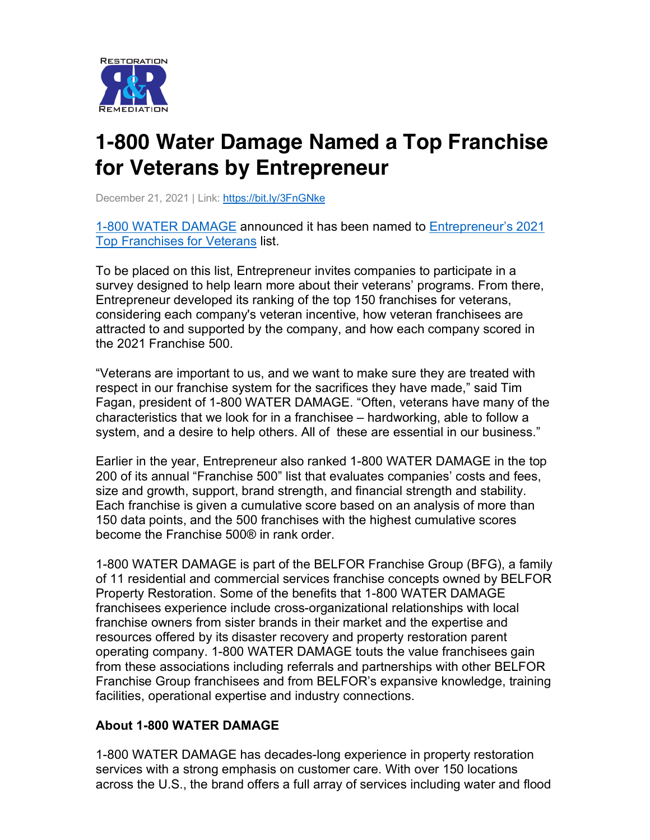

## **1-800 Water Damage Named a Top Franchise for Veterans by Entrepreneur**

December 21, 2021 | Link: https://bit.ly/3FnGNke

1-800 WATER DAMAGE announced it has been named to Entrepreneur's 2021 Top Franchises for Veterans list.

To be placed on this list, Entrepreneur invites companies to participate in a survey designed to help learn more about their veterans' programs. From there, Entrepreneur developed its ranking of the top 150 franchises for veterans, considering each company's veteran incentive, how veteran franchisees are attracted to and supported by the company, and how each company scored in the 2021 Franchise 500.

"Veterans are important to us, and we want to make sure they are treated with respect in our franchise system for the sacrifices they have made," said Tim Fagan, president of 1-800 WATER DAMAGE. "Often, veterans have many of the characteristics that we look for in a franchisee – hardworking, able to follow a system, and a desire to help others. All of these are essential in our business."

Earlier in the year, Entrepreneur also ranked 1-800 WATER DAMAGE in the top 200 of its annual "Franchise 500" list that evaluates companies' costs and fees, size and growth, support, brand strength, and financial strength and stability. Each franchise is given a cumulative score based on an analysis of more than 150 data points, and the 500 franchises with the highest cumulative scores become the Franchise 500® in rank order.

1-800 WATER DAMAGE is part of the BELFOR Franchise Group (BFG), a family of 11 residential and commercial services franchise concepts owned by BELFOR Property Restoration. Some of the benefits that 1-800 WATER DAMAGE franchisees experience include cross-organizational relationships with local franchise owners from sister brands in their market and the expertise and resources offered by its disaster recovery and property restoration parent operating company. 1-800 WATER DAMAGE touts the value franchisees gain from these associations including referrals and partnerships with other BELFOR Franchise Group franchisees and from BELFOR's expansive knowledge, training facilities, operational expertise and industry connections.

## **About 1-800 WATER DAMAGE**

1-800 WATER DAMAGE has decades-long experience in property restoration services with a strong emphasis on customer care. With over 150 locations across the U.S., the brand offers a full array of services including water and flood